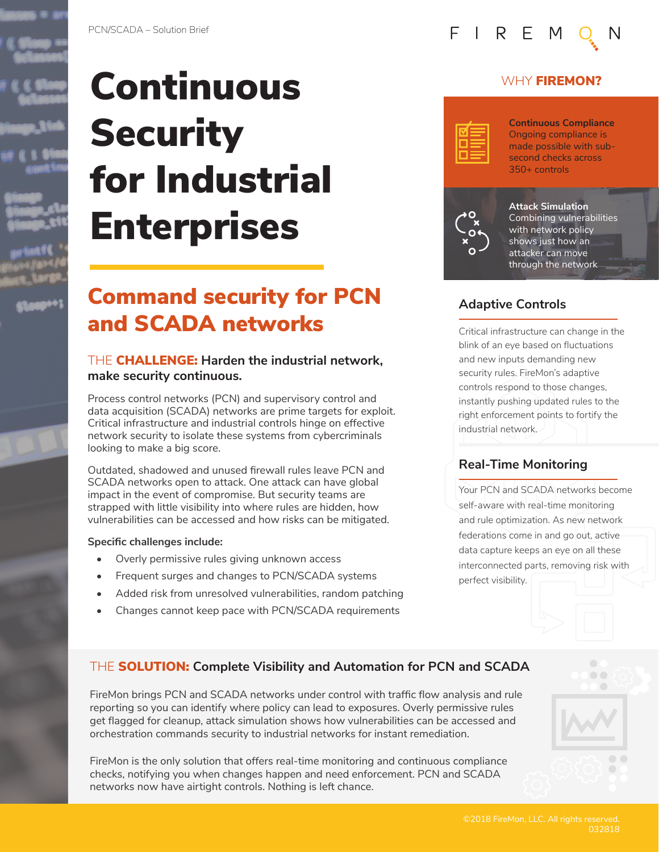





# Continuous **Security** for Industrial **Enterprises**

PCN/SCADA – Solution Brief

### Command security for PCN and SCADA networks

#### THE CHALLENGE: **Harden the industrial network, make security continuous.**

Process control networks (PCN) and supervisory control and data acquisition (SCADA) networks are prime targets for exploit. Critical infrastructure and industrial controls hinge on effective network security to isolate these systems from cybercriminals looking to make a big score.

Outdated, shadowed and unused firewall rules leave PCN and SCADA networks open to attack. One attack can have global impact in the event of compromise. But security teams are strapped with little visibility into where rules are hidden, how vulnerabilities can be accessed and how risks can be mitigated.

#### **Specific challenges include:**

- Overly permissive rules giving unknown access
- Frequent surges and changes to PCN/SCADA systems
- Added risk from unresolved vulnerabilities, random patching
- Changes cannot keep pace with PCN/SCADA requirements

# FIRE

#### WHY **FIREMON?**



**Continuous Compliance** Ongoing compliance is made possible with subsecond checks across 350+ controls



**Attack Simulation**  Combining vulnerabilities with network policy shows just how an attacker can move through the network

#### **Adaptive Controls**

Critical infrastructure can change in the blink of an eye based on fluctuations and new inputs demanding new security rules. FireMon's adaptive controls respond to those changes, instantly pushing updated rules to the right enforcement points to fortify the industrial network.

#### **Real-Time Monitoring**

Your PCN and SCADA networks become self-aware with real-time monitoring and rule optimization. As new network federations come in and go out, active data capture keeps an eye on all these interconnected parts, removing risk with perfect visibility.

#### THE SOLUTION: **Complete Visibility and Automation for PCN and SCADA**

FireMon brings PCN and SCADA networks under control with traffic flow analysis and rule reporting so you can identify where policy can lead to exposures. Overly permissive rules get flagged for cleanup, attack simulation shows how vulnerabilities can be accessed and orchestration commands security to industrial networks for instant remediation.

FireMon is the only solution that offers real-time monitoring and continuous compliance checks, notifying you when changes happen and need enforcement. PCN and SCADA networks now have airtight controls. Nothing is left chance.